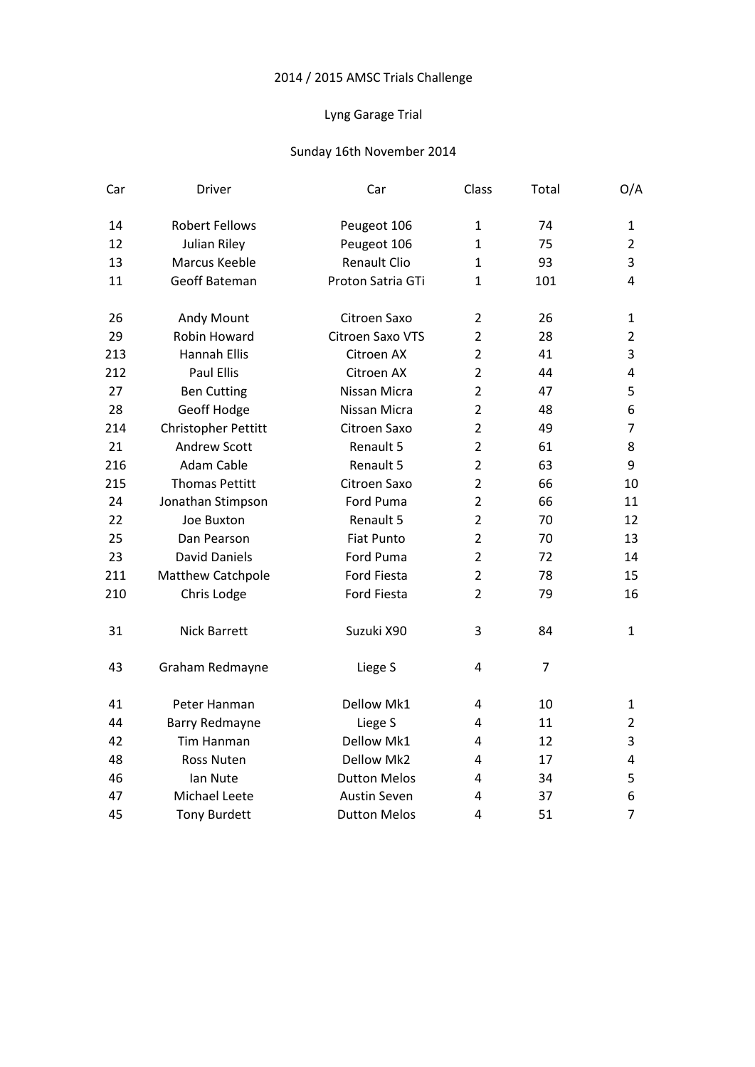## Lyng Garage Trial

| Car | Driver                | Car                 | Class          | Total          | O/A            |
|-----|-----------------------|---------------------|----------------|----------------|----------------|
| 14  | <b>Robert Fellows</b> | Peugeot 106         | 1              | 74             | 1              |
| 12  | Julian Riley          | Peugeot 106         | $\mathbf{1}$   | 75             | $\overline{2}$ |
| 13  | Marcus Keeble         | <b>Renault Clio</b> | 1              | 93             | 3              |
| 11  | Geoff Bateman         | Proton Satria GTi   | $\mathbf{1}$   | 101            | $\overline{4}$ |
| 26  | Andy Mount            | Citroen Saxo        | $\overline{2}$ | 26             | 1              |
| 29  | Robin Howard          | Citroen Saxo VTS    | $\overline{2}$ | 28             | 2              |
| 213 | <b>Hannah Ellis</b>   | Citroen AX          | $\overline{2}$ | 41             | 3              |
| 212 | <b>Paul Ellis</b>     | Citroen AX          | $\overline{2}$ | 44             | 4              |
| 27  | <b>Ben Cutting</b>    | Nissan Micra        | $\overline{2}$ | 47             | 5              |
| 28  | Geoff Hodge           | Nissan Micra        | $\overline{2}$ | 48             | 6              |
| 214 | Christopher Pettitt   | Citroen Saxo        | $\overline{2}$ | 49             | $\overline{7}$ |
| 21  | <b>Andrew Scott</b>   | Renault 5           | $\overline{2}$ | 61             | 8              |
| 216 | Adam Cable            | Renault 5           | $\overline{2}$ | 63             | 9              |
| 215 | <b>Thomas Pettitt</b> | Citroen Saxo        | $\overline{2}$ | 66             | 10             |
| 24  | Jonathan Stimpson     | Ford Puma           | $\overline{2}$ | 66             | 11             |
| 22  | Joe Buxton            | Renault 5           | $\overline{2}$ | 70             | 12             |
| 25  | Dan Pearson           | <b>Fiat Punto</b>   | $\overline{2}$ | 70             | 13             |
| 23  | <b>David Daniels</b>  | Ford Puma           | $\overline{2}$ | 72             | 14             |
| 211 | Matthew Catchpole     | Ford Fiesta         | $\overline{2}$ | 78             | 15             |
| 210 | Chris Lodge           | Ford Fiesta         | $\overline{2}$ | 79             | 16             |
| 31  | <b>Nick Barrett</b>   | Suzuki X90          | 3              | 84             | $\mathbf{1}$   |
| 43  | Graham Redmayne       | Liege S             | 4              | $\overline{7}$ |                |
| 41  | Peter Hanman          | Dellow Mk1          | 4              | 10             | $\mathbf{1}$   |
| 44  | Barry Redmayne        | Liege S             | 4              | 11             | 2              |
| 42  | Tim Hanman            | Dellow Mk1          | 4              | 12             | 3              |
| 48  | Ross Nuten            | Dellow Mk2          | 4              | 17             | 4              |
| 46  | Ian Nute              | <b>Dutton Melos</b> | 4              | 34             | 5              |
| 47  | Michael Leete         | Austin Seven        | 4              | 37             | 6              |
| 45  | <b>Tony Burdett</b>   | <b>Dutton Melos</b> | 4              | 51             | $\overline{7}$ |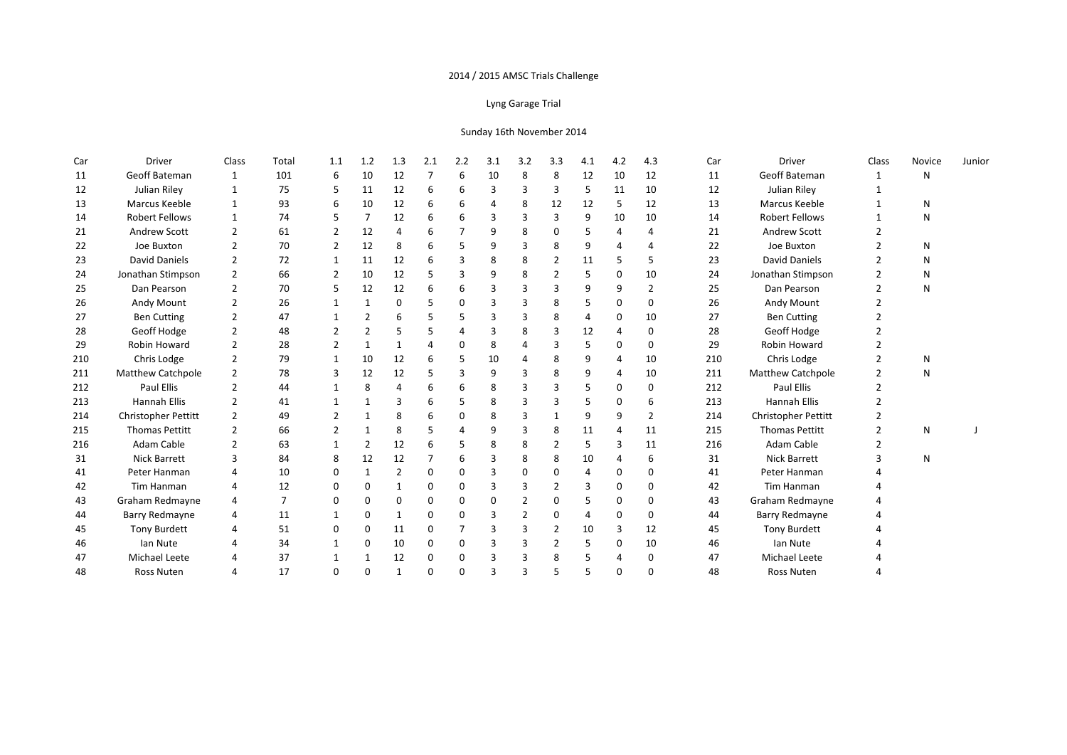### Lyng Garage Trial

| Car | Driver                     | Class                    | Total | 1.1            | 1.2 | 1.3            | 2.1            | 2.2      | 3.1 | 3.2            | 3.3            | 4.1 | 4.2 | 4.3            | Car | Driver                   | Class         | Novice | Junior |
|-----|----------------------------|--------------------------|-------|----------------|-----|----------------|----------------|----------|-----|----------------|----------------|-----|-----|----------------|-----|--------------------------|---------------|--------|--------|
| 11  | Geoff Bateman              | $\mathbf{1}$             | 101   | 6              | 10  | 12             | $\overline{7}$ | 6        | 10  | 8              | 8              | 12  | 10  | 12             | 11  | Geoff Bateman            | $\mathbf{1}$  | N      |        |
| 12  | Julian Riley               | 1                        | 75    | 5              | 11  | 12             | 6              | 6        | 3   | 3              | 3              | 5   | 11  | 10             | 12  | Julian Riley             |               |        |        |
| 13  | Marcus Keeble              | $\mathbf{1}$             | 93    | 6              | 10  | 12             | 6              | 6        | 4   | 8              | 12             | 12  | 5   | 12             | 13  | Marcus Keeble            |               | N      |        |
| 14  | <b>Robert Fellows</b>      | $\mathbf{1}$             | 74    | 5              | 7   | 12             | 6              | 6        | 3   | 3              | 3              | 9   | 10  | 10             | 14  | <b>Robert Fellows</b>    |               | N      |        |
| 21  | <b>Andrew Scott</b>        | $\mathcal{P}$            | 61    | $\overline{2}$ | 12  | 4              | 6              |          | 9   | 8              | 0              | 5   |     | 4              | 21  | Andrew Scott             |               |        |        |
| 22  | Joe Buxton                 | $\mathcal{P}$            | 70    | 2              | 12  | 8              | 6              |          | 9   | 3              | 8              | 9   |     | 4              | 22  | Joe Buxton               |               | N      |        |
| 23  | <b>David Daniels</b>       | $\overline{2}$           | 72    | 1              | 11  | 12             | 6              | 3        | 8   | 8              | 2              | 11  | 5   | 5              | 23  | David Daniels            | $\mathcal{P}$ | N      |        |
| 24  | Jonathan Stimpson          | 2                        | 66    | 2              | 10  | 12             | 5              | 3        | 9   | 8              |                | 5   | 0   | 10             | 24  | Jonathan Stimpson        |               | N      |        |
| 25  | Dan Pearson                | $\overline{2}$           | 70    | 5              | 12  | 12             | 6              | 6        | 3   | 3              | 3              | 9   | 9   | $\overline{2}$ | 25  | Dan Pearson              | $\mathcal{P}$ | N      |        |
| 26  | Andy Mount                 | $\overline{2}$           | 26    | 1              |     | $\Omega$       | .5             | $\Omega$ | 3   | 3              | 8              | 5   | 0   | $\mathbf{0}$   | 26  | Andy Mount               |               |        |        |
| 27  | <b>Ben Cutting</b>         | $\overline{\phantom{a}}$ | 47    |                | 2   | 6              | .5             | 5        | 3   | 3              | 8              | 4   | 0   | 10             | 27  | <b>Ben Cutting</b>       |               |        |        |
| 28  | Geoff Hodge                | $\overline{\phantom{a}}$ | 48    |                | 2   | 5              | .5             |          | 3   | 8              | З              | 12  | 4   | 0              | 28  | Geoff Hodge              |               |        |        |
| 29  | Robin Howard               | $\overline{2}$           | 28    | $\overline{2}$ | 1   |                | $\overline{4}$ | 0        | 8   |                | З              | 5   | 0   | $\mathbf{0}$   | 29  | <b>Robin Howard</b>      |               |        |        |
| 210 | Chris Lodge                | 2                        | 79    | 1              | 10  | 12             | 6              | 5        | 10  | Δ              | 8              | 9   | 4   | 10             | 210 | Chris Lodge              |               | N      |        |
| 211 | <b>Matthew Catchpole</b>   | $\mathcal{P}$            | 78    | 3              | 12  | 12             | 5              | Р        | 9   |                | 8              | 9   | 4   | 10             | 211 | <b>Matthew Catchpole</b> |               | N      |        |
| 212 | <b>Paul Ellis</b>          | 2                        | 44    |                | 8   | 4              | 6              | 6        | 8   | 3              | з              | 5   | 0   | $\mathbf{0}$   | 212 | Paul Ellis               |               |        |        |
| 213 | <b>Hannah Ellis</b>        | $\mathcal{P}$            | 41    |                |     | 3              | 6              | 5        | 8   | 3              |                | 5   | 0   | 6              | 213 | <b>Hannah Ellis</b>      |               |        |        |
| 214 | <b>Christopher Pettitt</b> | $\overline{2}$           | 49    |                |     | 8              | 6              | $\Omega$ | 8   | з              |                | 9   | 9   | $\overline{2}$ | 214 | Christopher Pettitt      |               |        |        |
| 215 | Thomas Pettitt             | $\overline{\phantom{a}}$ | 66    | $\mathcal{P}$  |     | 8              | .5             |          | 9   |                | 8              | 11  | 4   | 11             | 215 | <b>Thomas Pettitt</b>    | $\mathcal{P}$ | N      |        |
| 216 | Adam Cable                 | $\mathcal{P}$            | 63    |                | 2   | 12             | 6              | 5        | 8   | 8              | 2              | 5   | 3   | 11             | 216 | Adam Cable               |               |        |        |
| 31  | <b>Nick Barrett</b>        | $\mathbf{3}$             | 84    | 8              | 12  | 12             | 7              | 6        | 3   | 8              | 8              | 10  |     | 6              | 31  | <b>Nick Barrett</b>      | З             | N      |        |
| 41  | Peter Hanman               | 4                        | 10    | 0              | 1   | $\overline{2}$ | 0              | $\Omega$ | 3   | O              | $\Omega$       | 4   | 0   | 0              | 41  | Peter Hanman             |               |        |        |
| 42  | Tim Hanman                 | 4                        | 12    | 0              | 0   |                | 0              | $\Omega$ | 3   |                | $\overline{2}$ | 3   | 0   | 0              | 42  | <b>Tim Hanman</b>        |               |        |        |
| 43  | Graham Redmayne            | 4                        | 7     | $\Omega$       | 0   | 0              | 0              | 0        | 0   |                | O              | 5   | 0   | 0              | 43  | Graham Redmayne          |               |        |        |
| 44  | Barry Redmayne             |                          | 11    | 1              | 0   | $\mathbf{1}$   | 0              | $\Omega$ | 3   | $\overline{2}$ | $\Omega$       | 4   | 0   | 0              | 44  | Barry Redmayne           |               |        |        |
| 45  | <b>Tony Burdett</b>        | 4                        | 51    | $\Omega$       | 0   | 11             | $\Omega$       | 7        | 3   | 3              | $\overline{2}$ | 10  | 3   | 12             | 45  | <b>Tony Burdett</b>      |               |        |        |
| 46  | lan Nute                   |                          | 34    | 1              | 0   | 10             | $\mathbf 0$    | 0        | 3   | 3              | $\overline{2}$ | 5   | 0   | 10             | 46  | Ian Nute                 |               |        |        |
| 47  | Michael Leete              | 4                        | 37    | 1              |     | 12             | $\Omega$       | 0        | 3   | 3              | 8              | 5   | 4   | $\mathbf{0}$   | 47  | Michael Leete            |               |        |        |
| 48  | Ross Nuten                 | $\overline{4}$           | 17    | $\Omega$       | 0   | 1              | $\Omega$       | $\Omega$ | 3   | 3              |                | 5   | 0   | $\Omega$       | 48  | Ross Nuten               |               |        |        |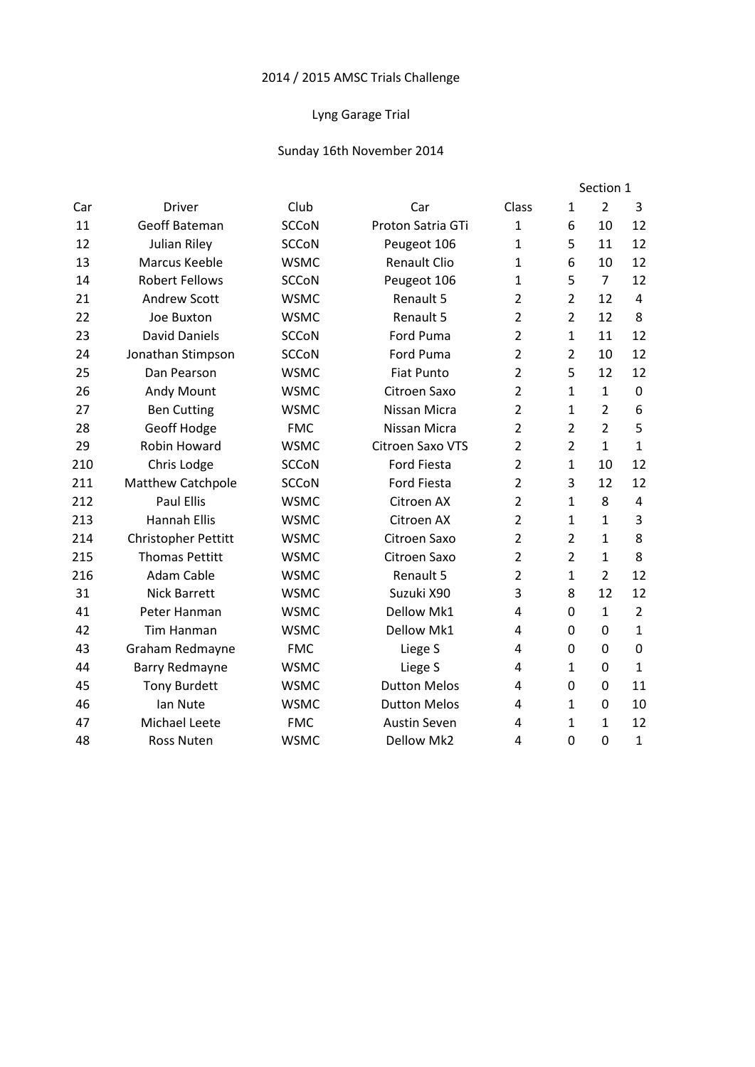## Lyng Garage Trial

| <b>Driver</b>              | Club         | Car                 | Class          | 1              | $\overline{2}$ | 3              |
|----------------------------|--------------|---------------------|----------------|----------------|----------------|----------------|
| <b>Geoff Bateman</b>       | <b>SCCoN</b> | Proton Satria GTi   | $\mathbf{1}$   | 6              | 10             | 12             |
| Julian Riley               | <b>SCCoN</b> | Peugeot 106         | $\mathbf{1}$   | 5              | 11             | 12             |
| Marcus Keeble              | <b>WSMC</b>  | <b>Renault Clio</b> | $\mathbf{1}$   | 6              | 10             | 12             |
| <b>Robert Fellows</b>      | <b>SCCoN</b> | Peugeot 106         | $\mathbf{1}$   | 5              | $\overline{7}$ | 12             |
| <b>Andrew Scott</b>        | <b>WSMC</b>  | Renault 5           | $\overline{2}$ | $\overline{2}$ | 12             | $\overline{a}$ |
| Joe Buxton                 | <b>WSMC</b>  | Renault 5           | $\overline{2}$ | $\overline{2}$ | 12             | 8              |
| <b>David Daniels</b>       | <b>SCCoN</b> | Ford Puma           | $\overline{2}$ | 1              | 11             | 12             |
| Jonathan Stimpson          | <b>SCCoN</b> | <b>Ford Puma</b>    | $\overline{2}$ | $\overline{2}$ | 10             | 12             |
| Dan Pearson                | <b>WSMC</b>  | <b>Fiat Punto</b>   | $\overline{2}$ | 5              | 12             | 12             |
| Andy Mount                 | <b>WSMC</b>  | Citroen Saxo        | $\overline{2}$ | 1              | $\mathbf{1}$   | 0              |
| <b>Ben Cutting</b>         | <b>WSMC</b>  | Nissan Micra        | $\overline{2}$ | 1              | $\overline{2}$ | 6              |
| Geoff Hodge                | <b>FMC</b>   | Nissan Micra        | $\overline{2}$ | $\overline{2}$ | $\overline{2}$ | 5              |
| Robin Howard               | <b>WSMC</b>  | Citroen Saxo VTS    | $\overline{2}$ | $\overline{2}$ | $\mathbf{1}$   | $\mathbf{1}$   |
| Chris Lodge                | <b>SCCoN</b> | <b>Ford Fiesta</b>  | $\overline{2}$ | 1              | 10             | 12             |
| Matthew Catchpole          | <b>SCCoN</b> | <b>Ford Fiesta</b>  | $\overline{2}$ | 3              | 12             | 12             |
| <b>Paul Ellis</b>          | <b>WSMC</b>  | Citroen AX          | $\overline{2}$ | 1              | 8              | $\overline{4}$ |
| <b>Hannah Ellis</b>        | <b>WSMC</b>  | Citroen AX          | $\overline{2}$ | 1              | $\mathbf{1}$   | 3              |
| <b>Christopher Pettitt</b> | <b>WSMC</b>  | Citroen Saxo        | $\overline{2}$ | $\overline{2}$ | $\mathbf{1}$   | 8              |
| <b>Thomas Pettitt</b>      | <b>WSMC</b>  | Citroen Saxo        | $\overline{2}$ | $\overline{2}$ | $\mathbf{1}$   | 8              |
| <b>Adam Cable</b>          | <b>WSMC</b>  | Renault 5           | $\overline{2}$ | 1              | $\overline{2}$ | 12             |
| <b>Nick Barrett</b>        | <b>WSMC</b>  | Suzuki X90          | 3              | 8              | 12             | 12             |
| Peter Hanman               | <b>WSMC</b>  | Dellow Mk1          | 4              | $\Omega$       | $\mathbf{1}$   | $\overline{2}$ |
| <b>Tim Hanman</b>          | <b>WSMC</b>  | Dellow Mk1          | 4              | $\mathbf 0$    | $\mathbf 0$    | $\mathbf{1}$   |
| Graham Redmayne            | <b>FMC</b>   | Liege S             | 4              | $\Omega$       | 0              | $\Omega$       |
| <b>Barry Redmayne</b>      | <b>WSMC</b>  | Liege S             | 4              | 1              | 0              | $\mathbf{1}$   |
| <b>Tony Burdett</b>        | <b>WSMC</b>  | <b>Dutton Melos</b> | 4              | 0              | 0              | 11             |
| lan Nute                   | <b>WSMC</b>  | <b>Dutton Melos</b> | 4              | 1              | 0              | 10             |
| Michael Leete              | <b>FMC</b>   | <b>Austin Seven</b> | 4              | 1              | $\mathbf{1}$   | 12             |
| <b>Ross Nuten</b>          | <b>WSMC</b>  | Dellow Mk2          | 4              | $\mathbf 0$    | $\overline{0}$ | $\mathbf{1}$   |
|                            |              |                     |                |                |                | Section 1      |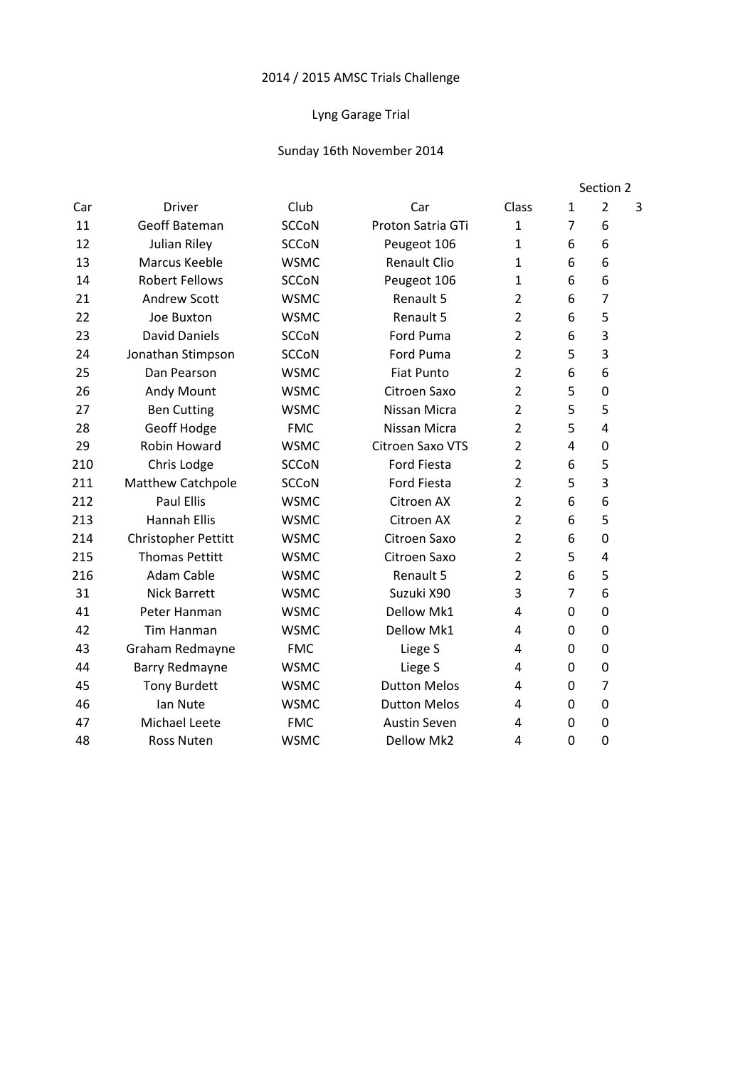## Lyng Garage Trial

|     |                       |              |                     |                |                | Section 2      |   |  |
|-----|-----------------------|--------------|---------------------|----------------|----------------|----------------|---|--|
| Car | <b>Driver</b>         | Club         | Car                 | Class          | $\mathbf{1}$   | $\overline{2}$ | 3 |  |
| 11  | <b>Geoff Bateman</b>  | <b>SCCoN</b> | Proton Satria GTi   | $\mathbf{1}$   | $\overline{7}$ | 6              |   |  |
| 12  | <b>Julian Riley</b>   | <b>SCCoN</b> | Peugeot 106         | $\mathbf{1}$   | 6              | 6              |   |  |
| 13  | <b>Marcus Keeble</b>  | <b>WSMC</b>  | <b>Renault Clio</b> | $\mathbf{1}$   | 6              | 6              |   |  |
| 14  | <b>Robert Fellows</b> | <b>SCCoN</b> | Peugeot 106         | 1              | 6              | 6              |   |  |
| 21  | <b>Andrew Scott</b>   | <b>WSMC</b>  | Renault 5           | $\overline{2}$ | 6              | 7              |   |  |
| 22  | Joe Buxton            | <b>WSMC</b>  | Renault 5           | $\overline{2}$ | 6              | 5              |   |  |
| 23  | <b>David Daniels</b>  | <b>SCCoN</b> | <b>Ford Puma</b>    | $\overline{2}$ | 6              | 3              |   |  |
| 24  | Jonathan Stimpson     | <b>SCCoN</b> | Ford Puma           | $\overline{2}$ | 5              | 3              |   |  |
| 25  | Dan Pearson           | <b>WSMC</b>  | <b>Fiat Punto</b>   | $\overline{2}$ | 6              | 6              |   |  |
| 26  | Andy Mount            | <b>WSMC</b>  | Citroen Saxo        | $\overline{2}$ | 5              | 0              |   |  |
| 27  | <b>Ben Cutting</b>    | <b>WSMC</b>  | Nissan Micra        | $\overline{2}$ | 5              | 5              |   |  |
| 28  | Geoff Hodge           | <b>FMC</b>   | Nissan Micra        | $\overline{2}$ | 5              | $\overline{4}$ |   |  |
| 29  | Robin Howard          | <b>WSMC</b>  | Citroen Saxo VTS    | $\overline{2}$ | 4              | 0              |   |  |
| 210 | Chris Lodge           | <b>SCCoN</b> | <b>Ford Fiesta</b>  | $\overline{2}$ | 6              | 5              |   |  |
| 211 | Matthew Catchpole     | <b>SCCoN</b> | <b>Ford Fiesta</b>  | $\overline{2}$ | 5              | 3              |   |  |
| 212 | <b>Paul Ellis</b>     | <b>WSMC</b>  | Citroen AX          | $\overline{2}$ | 6              | 6              |   |  |
| 213 | <b>Hannah Ellis</b>   | <b>WSMC</b>  | Citroen AX          | $\overline{2}$ | 6              | 5              |   |  |
| 214 | Christopher Pettitt   | <b>WSMC</b>  | Citroen Saxo        | $\overline{2}$ | 6              | 0              |   |  |
| 215 | <b>Thomas Pettitt</b> | <b>WSMC</b>  | Citroen Saxo        | $\overline{2}$ | 5              | 4              |   |  |
| 216 | <b>Adam Cable</b>     | <b>WSMC</b>  | Renault 5           | $\overline{2}$ | 6              | 5              |   |  |
| 31  | <b>Nick Barrett</b>   | <b>WSMC</b>  | Suzuki X90          | 3              | $\overline{7}$ | 6              |   |  |
| 41  | Peter Hanman          | <b>WSMC</b>  | Dellow Mk1          | 4              | 0              | 0              |   |  |
| 42  | <b>Tim Hanman</b>     | <b>WSMC</b>  | Dellow Mk1          | 4              | $\mathbf 0$    | 0              |   |  |
| 43  | Graham Redmayne       | <b>FMC</b>   | Liege S             | 4              | $\Omega$       | 0              |   |  |
| 44  | Barry Redmayne        | <b>WSMC</b>  | Liege S             | 4              | $\mathbf 0$    | 0              |   |  |
| 45  | <b>Tony Burdett</b>   | <b>WSMC</b>  | <b>Dutton Melos</b> | 4              | 0              | $\overline{7}$ |   |  |
| 46  | Ian Nute              | <b>WSMC</b>  | <b>Dutton Melos</b> | 4              | 0              | 0              |   |  |
| 47  | Michael Leete         | <b>FMC</b>   | <b>Austin Seven</b> | 4              | $\Omega$       | 0              |   |  |
| 48  | <b>Ross Nuten</b>     | <b>WSMC</b>  | Dellow Mk2          | 4              | 0              | $\mathbf 0$    |   |  |
|     |                       |              |                     |                |                |                |   |  |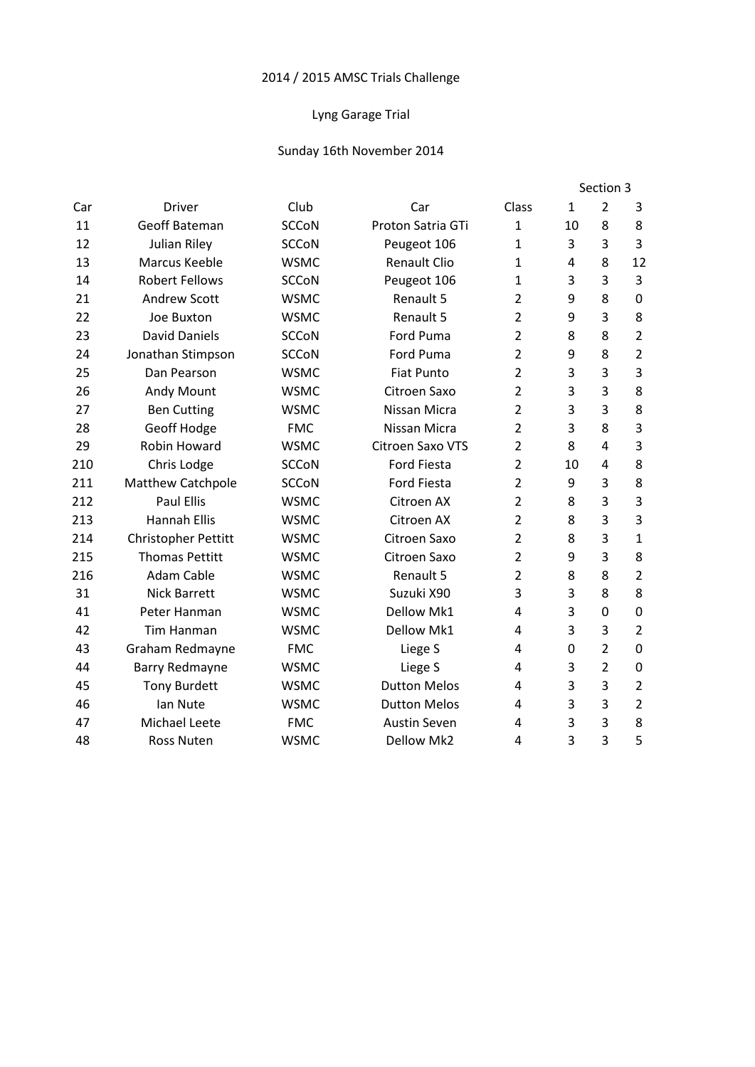## Lyng Garage Trial

|     |                            |              |                     |                |              | Section 3      |                |  |  |
|-----|----------------------------|--------------|---------------------|----------------|--------------|----------------|----------------|--|--|
| Car | <b>Driver</b>              | Club         | Car                 | Class          | $\mathbf{1}$ | $\overline{2}$ | 3              |  |  |
| 11  | <b>Geoff Bateman</b>       | <b>SCCoN</b> | Proton Satria GTi   | 1              | 10           | 8              | 8              |  |  |
| 12  | <b>Julian Riley</b>        | <b>SCCoN</b> | Peugeot 106         | $\mathbf{1}$   | 3            | 3              | 3              |  |  |
| 13  | Marcus Keeble              | <b>WSMC</b>  | <b>Renault Clio</b> | $\mathbf{1}$   | 4            | 8              | 12             |  |  |
| 14  | <b>Robert Fellows</b>      | <b>SCCoN</b> | Peugeot 106         | $\mathbf{1}$   | 3            | 3              | 3              |  |  |
| 21  | <b>Andrew Scott</b>        | <b>WSMC</b>  | Renault 5           | $\overline{2}$ | 9            | 8              | $\mathbf 0$    |  |  |
| 22  | Joe Buxton                 | <b>WSMC</b>  | Renault 5           | $\overline{2}$ | 9            | 3              | 8              |  |  |
| 23  | <b>David Daniels</b>       | <b>SCCoN</b> | Ford Puma           | $\overline{2}$ | 8            | 8              | $\overline{2}$ |  |  |
| 24  | Jonathan Stimpson          | <b>SCCoN</b> | <b>Ford Puma</b>    | $\overline{2}$ | 9            | 8              | $\overline{2}$ |  |  |
| 25  | Dan Pearson                | <b>WSMC</b>  | <b>Fiat Punto</b>   | $\overline{2}$ | 3            | 3              | 3              |  |  |
| 26  | Andy Mount                 | <b>WSMC</b>  | Citroen Saxo        | $\overline{2}$ | 3            | 3              | 8              |  |  |
| 27  | <b>Ben Cutting</b>         | <b>WSMC</b>  | Nissan Micra        | $\overline{2}$ | 3            | 3              | 8              |  |  |
| 28  | Geoff Hodge                | <b>FMC</b>   | Nissan Micra        | $\overline{2}$ | 3            | 8              | 3              |  |  |
| 29  | Robin Howard               | <b>WSMC</b>  | Citroen Saxo VTS    | $\overline{2}$ | 8            | $\overline{a}$ | 3              |  |  |
| 210 | Chris Lodge                | <b>SCCoN</b> | <b>Ford Fiesta</b>  | $\overline{2}$ | 10           | $\overline{a}$ | 8              |  |  |
| 211 | Matthew Catchpole          | <b>SCCoN</b> | <b>Ford Fiesta</b>  | $\overline{2}$ | 9            | 3              | 8              |  |  |
| 212 | <b>Paul Ellis</b>          | <b>WSMC</b>  | Citroen AX          | $\overline{2}$ | 8            | 3              | 3              |  |  |
| 213 | <b>Hannah Ellis</b>        | <b>WSMC</b>  | Citroen AX          | $\overline{2}$ | 8            | 3              | 3              |  |  |
| 214 | <b>Christopher Pettitt</b> | <b>WSMC</b>  | Citroen Saxo        | $\overline{2}$ | 8            | 3              | $\mathbf{1}$   |  |  |
| 215 | <b>Thomas Pettitt</b>      | <b>WSMC</b>  | Citroen Saxo        | $\overline{2}$ | 9            | $\overline{3}$ | 8              |  |  |
| 216 | <b>Adam Cable</b>          | <b>WSMC</b>  | Renault 5           | $\overline{2}$ | 8            | 8              | $\overline{2}$ |  |  |
| 31  | <b>Nick Barrett</b>        | <b>WSMC</b>  | Suzuki X90          | 3              | 3            | 8              | 8              |  |  |
| 41  | Peter Hanman               | <b>WSMC</b>  | <b>Dellow Mk1</b>   | 4              | 3            | $\Omega$       | $\mathbf 0$    |  |  |
| 42  | <b>Tim Hanman</b>          | <b>WSMC</b>  | Dellow Mk1          | 4              | 3            | 3              | $\overline{2}$ |  |  |
| 43  | Graham Redmayne            | <b>FMC</b>   | Liege S             | 4              | $\Omega$     | $\overline{2}$ | $\mathbf 0$    |  |  |
| 44  | <b>Barry Redmayne</b>      | <b>WSMC</b>  | Liege S             | 4              | 3            | $\overline{2}$ | $\mathbf 0$    |  |  |
| 45  | <b>Tony Burdett</b>        | <b>WSMC</b>  | <b>Dutton Melos</b> | 4              | 3            | 3              | $\mathbf 2$    |  |  |
| 46  | lan Nute                   | <b>WSMC</b>  | <b>Dutton Melos</b> | 4              | 3            | 3              | $\overline{2}$ |  |  |
| 47  | Michael Leete              | <b>FMC</b>   | <b>Austin Seven</b> | 4              | 3            | 3              | 8              |  |  |
| 48  | <b>Ross Nuten</b>          | <b>WSMC</b>  | Dellow Mk2          | 4              | 3            | 3              | 5              |  |  |
|     |                            |              |                     |                |              |                |                |  |  |